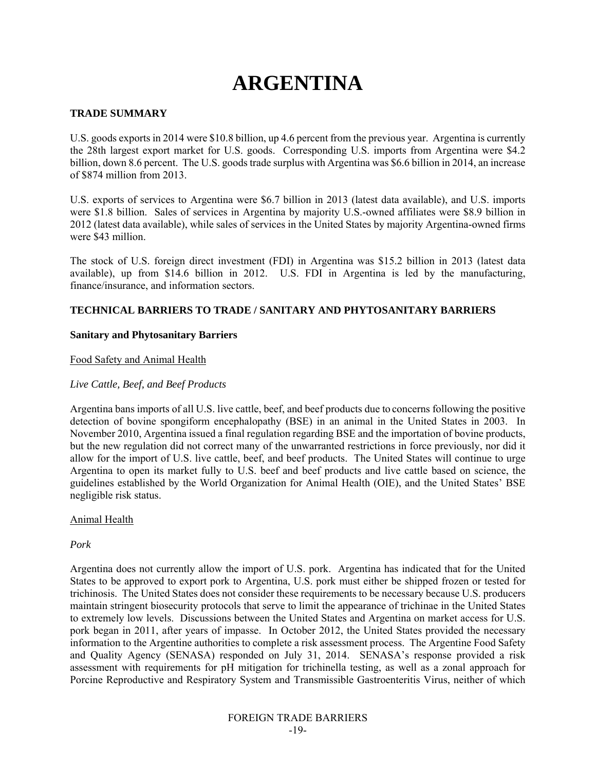# **ARGENTINA**

#### **TRADE SUMMARY**

U.S. goods exports in 2014 were \$10.8 billion, up 4.6 percent from the previous year. Argentina is currently the 28th largest export market for U.S. goods. Corresponding U.S. imports from Argentina were \$4.2 billion, down 8.6 percent. The U.S. goods trade surplus with Argentina was \$6.6 billion in 2014, an increase of \$874 million from 2013.

U.S. exports of services to Argentina were \$6.7 billion in 2013 (latest data available), and U.S. imports were \$1.8 billion. Sales of services in Argentina by majority U.S.-owned affiliates were \$8.9 billion in 2012 (latest data available), while sales of services in the United States by majority Argentina-owned firms were \$43 million.

The stock of U.S. foreign direct investment (FDI) in Argentina was \$15.2 billion in 2013 (latest data available), up from \$14.6 billion in 2012. U.S. FDI in Argentina is led by the manufacturing, finance/insurance, and information sectors.

# **TECHNICAL BARRIERS TO TRADE / SANITARY AND PHYTOSANITARY BARRIERS**

#### **Sanitary and Phytosanitary Barriers**

#### Food Safety and Animal Health

#### *Live Cattle, Beef, and Beef Products*

Argentina bans imports of all U.S. live cattle, beef, and beef products due to concerns following the positive detection of bovine spongiform encephalopathy (BSE) in an animal in the United States in 2003. In November 2010, Argentina issued a final regulation regarding BSE and the importation of bovine products, but the new regulation did not correct many of the unwarranted restrictions in force previously, nor did it allow for the import of U.S. live cattle, beef, and beef products. The United States will continue to urge Argentina to open its market fully to U.S. beef and beef products and live cattle based on science, the guidelines established by the World Organization for Animal Health (OIE), and the United States' BSE negligible risk status.

#### Animal Health

#### *Pork*

Argentina does not currently allow the import of U.S. pork. Argentina has indicated that for the United States to be approved to export pork to Argentina, U.S. pork must either be shipped frozen or tested for trichinosis. The United States does not consider these requirements to be necessary because U.S. producers maintain stringent biosecurity protocols that serve to limit the appearance of trichinae in the United States to extremely low levels. Discussions between the United States and Argentina on market access for U.S. pork began in 2011, after years of impasse. In October 2012, the United States provided the necessary information to the Argentine authorities to complete a risk assessment process. The Argentine Food Safety and Quality Agency (SENASA) responded on July 31, 2014. SENASA's response provided a risk assessment with requirements for pH mitigation for trichinella testing, as well as a zonal approach for Porcine Reproductive and Respiratory System and Transmissible Gastroenteritis Virus, neither of which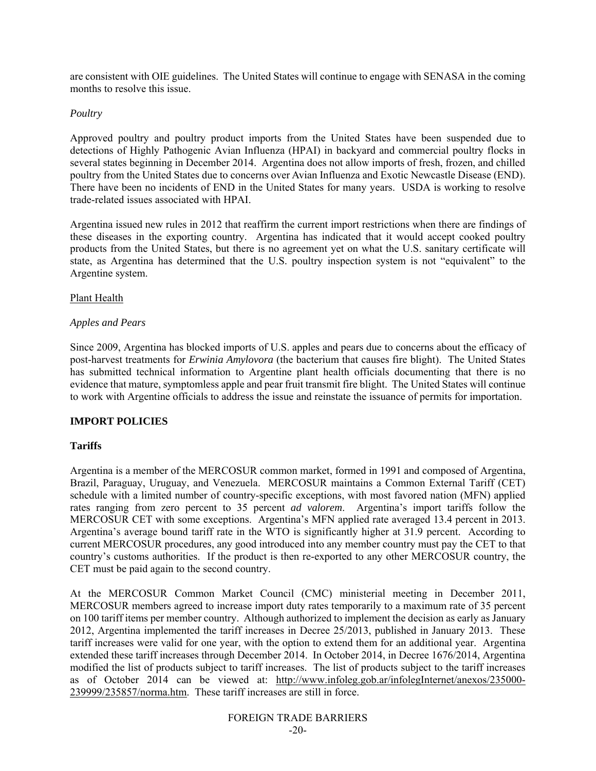are consistent with OIE guidelines. The United States will continue to engage with SENASA in the coming months to resolve this issue.

# *Poultry*

Approved poultry and poultry product imports from the United States have been suspended due to detections of Highly Pathogenic Avian Influenza (HPAI) in backyard and commercial poultry flocks in several states beginning in December 2014. Argentina does not allow imports of fresh, frozen, and chilled poultry from the United States due to concerns over Avian Influenza and Exotic Newcastle Disease (END). There have been no incidents of END in the United States for many years. USDA is working to resolve trade-related issues associated with HPAI.

Argentina issued new rules in 2012 that reaffirm the current import restrictions when there are findings of these diseases in the exporting country. Argentina has indicated that it would accept cooked poultry products from the United States, but there is no agreement yet on what the U.S. sanitary certificate will state, as Argentina has determined that the U.S. poultry inspection system is not "equivalent" to the Argentine system.

# Plant Health

# *Apples and Pears*

Since 2009, Argentina has blocked imports of U.S. apples and pears due to concerns about the efficacy of post-harvest treatments for *Erwinia Amylovora* (the bacterium that causes fire blight). The United States has submitted technical information to Argentine plant health officials documenting that there is no evidence that mature, symptomless apple and pear fruit transmit fire blight. The United States will continue to work with Argentine officials to address the issue and reinstate the issuance of permits for importation.

# **IMPORT POLICIES**

# **Tariffs**

Argentina is a member of the MERCOSUR common market, formed in 1991 and composed of Argentina, Brazil, Paraguay, Uruguay, and Venezuela. MERCOSUR maintains a Common External Tariff (CET) schedule with a limited number of country-specific exceptions, with most favored nation (MFN) applied rates ranging from zero percent to 35 percent *ad valorem*. Argentina's import tariffs follow the MERCOSUR CET with some exceptions. Argentina's MFN applied rate averaged 13.4 percent in 2013. Argentina's average bound tariff rate in the WTO is significantly higher at 31.9 percent. According to current MERCOSUR procedures, any good introduced into any member country must pay the CET to that country's customs authorities. If the product is then re-exported to any other MERCOSUR country, the CET must be paid again to the second country.

At the MERCOSUR Common Market Council (CMC) ministerial meeting in December 2011, MERCOSUR members agreed to increase import duty rates temporarily to a maximum rate of 35 percent on 100 tariff items per member country. Although authorized to implement the decision as early as January 2012, Argentina implemented the tariff increases in Decree 25/2013, published in January 2013. These tariff increases were valid for one year, with the option to extend them for an additional year. Argentina extended these tariff increases through December 2014. In October 2014, in Decree 1676/2014, Argentina modified the list of products subject to tariff increases. The list of products subject to the tariff increases as of October 2014 can be viewed at: http://www.infoleg.gob.ar/infolegInternet/anexos/235000- 239999/235857/norma.htm. These tariff increases are still in force.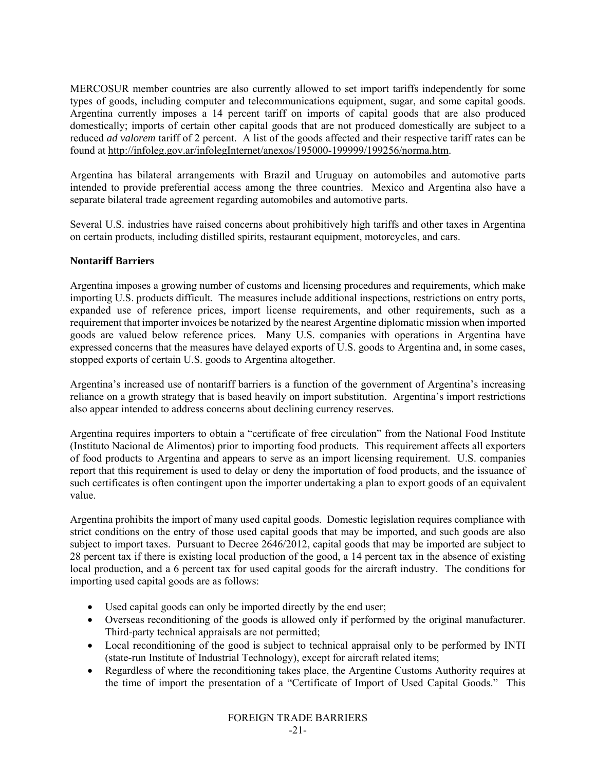MERCOSUR member countries are also currently allowed to set import tariffs independently for some types of goods, including computer and telecommunications equipment, sugar, and some capital goods. Argentina currently imposes a 14 percent tariff on imports of capital goods that are also produced domestically; imports of certain other capital goods that are not produced domestically are subject to a reduced *ad valorem* tariff of 2 percent. A list of the goods affected and their respective tariff rates can be found at http://infoleg.gov.ar/infolegInternet/anexos/195000-199999/199256/norma.htm.

Argentina has bilateral arrangements with Brazil and Uruguay on automobiles and automotive parts intended to provide preferential access among the three countries. Mexico and Argentina also have a separate bilateral trade agreement regarding automobiles and automotive parts.

Several U.S. industries have raised concerns about prohibitively high tariffs and other taxes in Argentina on certain products, including distilled spirits, restaurant equipment, motorcycles, and cars.

# **Nontariff Barriers**

Argentina imposes a growing number of customs and licensing procedures and requirements, which make importing U.S. products difficult. The measures include additional inspections, restrictions on entry ports, expanded use of reference prices, import license requirements, and other requirements, such as a requirement that importer invoices be notarized by the nearest Argentine diplomatic mission when imported goods are valued below reference prices. Many U.S. companies with operations in Argentina have expressed concerns that the measures have delayed exports of U.S. goods to Argentina and, in some cases, stopped exports of certain U.S. goods to Argentina altogether.

Argentina's increased use of nontariff barriers is a function of the government of Argentina's increasing reliance on a growth strategy that is based heavily on import substitution. Argentina's import restrictions also appear intended to address concerns about declining currency reserves.

Argentina requires importers to obtain a "certificate of free circulation" from the National Food Institute (Instituto Nacional de Alimentos) prior to importing food products. This requirement affects all exporters of food products to Argentina and appears to serve as an import licensing requirement. U.S. companies report that this requirement is used to delay or deny the importation of food products, and the issuance of such certificates is often contingent upon the importer undertaking a plan to export goods of an equivalent value.

Argentina prohibits the import of many used capital goods. Domestic legislation requires compliance with strict conditions on the entry of those used capital goods that may be imported, and such goods are also subject to import taxes. Pursuant to Decree 2646/2012, capital goods that may be imported are subject to 28 percent tax if there is existing local production of the good, a 14 percent tax in the absence of existing local production, and a 6 percent tax for used capital goods for the aircraft industry. The conditions for importing used capital goods are as follows:

- Used capital goods can only be imported directly by the end user;
- Overseas reconditioning of the goods is allowed only if performed by the original manufacturer. Third-party technical appraisals are not permitted;
- Local reconditioning of the good is subject to technical appraisal only to be performed by INTI (state-run Institute of Industrial Technology), except for aircraft related items;
- Regardless of where the reconditioning takes place, the Argentine Customs Authority requires at the time of import the presentation of a "Certificate of Import of Used Capital Goods." This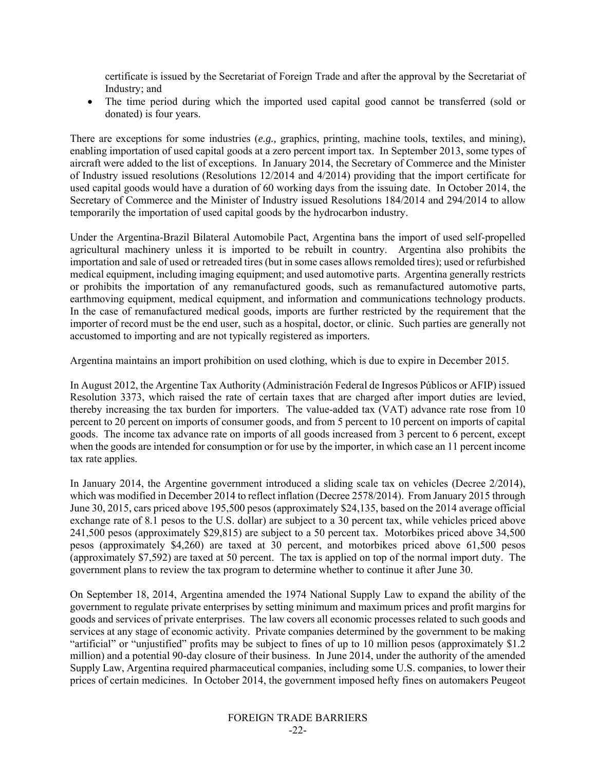certificate is issued by the Secretariat of Foreign Trade and after the approval by the Secretariat of Industry; and

 The time period during which the imported used capital good cannot be transferred (sold or donated) is four years.

There are exceptions for some industries (*e.g.,* graphics, printing, machine tools, textiles, and mining), enabling importation of used capital goods at a zero percent import tax. In September 2013, some types of aircraft were added to the list of exceptions. In January 2014, the Secretary of Commerce and the Minister of Industry issued resolutions (Resolutions 12/2014 and 4/2014) providing that the import certificate for used capital goods would have a duration of 60 working days from the issuing date. In October 2014, the Secretary of Commerce and the Minister of Industry issued Resolutions 184/2014 and 294/2014 to allow temporarily the importation of used capital goods by the hydrocarbon industry.

Under the Argentina-Brazil Bilateral Automobile Pact, Argentina bans the import of used self-propelled agricultural machinery unless it is imported to be rebuilt in country. Argentina also prohibits the importation and sale of used or retreaded tires (but in some cases allows remolded tires); used or refurbished medical equipment, including imaging equipment; and used automotive parts. Argentina generally restricts or prohibits the importation of any remanufactured goods, such as remanufactured automotive parts, earthmoving equipment, medical equipment, and information and communications technology products. In the case of remanufactured medical goods, imports are further restricted by the requirement that the importer of record must be the end user, such as a hospital, doctor, or clinic. Such parties are generally not accustomed to importing and are not typically registered as importers.

Argentina maintains an import prohibition on used clothing, which is due to expire in December 2015.

In August 2012, the Argentine Tax Authority (Administración Federal de Ingresos Públicos or AFIP) issued Resolution 3373, which raised the rate of certain taxes that are charged after import duties are levied, thereby increasing the tax burden for importers. The value-added tax (VAT) advance rate rose from 10 percent to 20 percent on imports of consumer goods, and from 5 percent to 10 percent on imports of capital goods. The income tax advance rate on imports of all goods increased from 3 percent to 6 percent, except when the goods are intended for consumption or for use by the importer, in which case an 11 percent income tax rate applies.

In January 2014, the Argentine government introduced a sliding scale tax on vehicles (Decree 2/2014), which was modified in December 2014 to reflect inflation (Decree 2578/2014). From January 2015 through June 30, 2015, cars priced above 195,500 pesos (approximately \$24,135, based on the 2014 average official exchange rate of 8.1 pesos to the U.S. dollar) are subject to a 30 percent tax, while vehicles priced above 241,500 pesos (approximately \$29,815) are subject to a 50 percent tax. Motorbikes priced above 34,500 pesos (approximately \$4,260) are taxed at 30 percent, and motorbikes priced above 61,500 pesos (approximately \$7,592) are taxed at 50 percent. The tax is applied on top of the normal import duty. The government plans to review the tax program to determine whether to continue it after June 30.

On September 18, 2014, Argentina amended the 1974 National Supply Law to expand the ability of the government to regulate private enterprises by setting minimum and maximum prices and profit margins for goods and services of private enterprises. The law covers all economic processes related to such goods and services at any stage of economic activity. Private companies determined by the government to be making "artificial" or "unjustified" profits may be subject to fines of up to 10 million pesos (approximately \$1.2 million) and a potential 90-day closure of their business. In June 2014, under the authority of the amended Supply Law, Argentina required pharmaceutical companies, including some U.S. companies, to lower their prices of certain medicines. In October 2014, the government imposed hefty fines on automakers Peugeot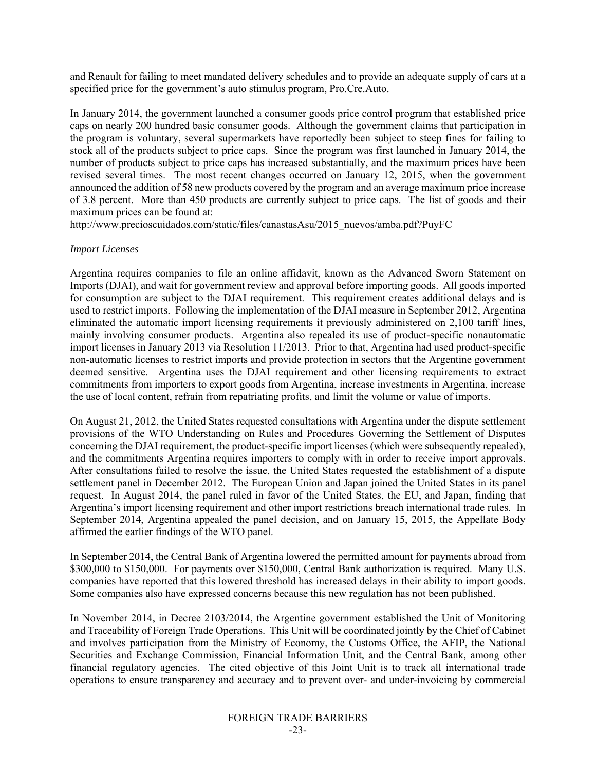and Renault for failing to meet mandated delivery schedules and to provide an adequate supply of cars at a specified price for the government's auto stimulus program, Pro.Cre.Auto.

In January 2014, the government launched a consumer goods price control program that established price caps on nearly 200 hundred basic consumer goods. Although the government claims that participation in the program is voluntary, several supermarkets have reportedly been subject to steep fines for failing to stock all of the products subject to price caps. Since the program was first launched in January 2014, the number of products subject to price caps has increased substantially, and the maximum prices have been revised several times. The most recent changes occurred on January 12, 2015, when the government announced the addition of 58 new products covered by the program and an average maximum price increase of 3.8 percent. More than 450 products are currently subject to price caps. The list of goods and their maximum prices can be found at:

http://www.precioscuidados.com/static/files/canastasAsu/2015\_nuevos/amba.pdf?PuyFC

#### *Import Licenses*

Argentina requires companies to file an online affidavit, known as the Advanced Sworn Statement on Imports (DJAI), and wait for government review and approval before importing goods. All goods imported for consumption are subject to the DJAI requirement. This requirement creates additional delays and is used to restrict imports. Following the implementation of the DJAI measure in September 2012, Argentina eliminated the automatic import licensing requirements it previously administered on 2,100 tariff lines, mainly involving consumer products. Argentina also repealed its use of product-specific nonautomatic import licenses in January 2013 via Resolution 11/2013. Prior to that, Argentina had used product-specific non-automatic licenses to restrict imports and provide protection in sectors that the Argentine government deemed sensitive. Argentina uses the DJAI requirement and other licensing requirements to extract commitments from importers to export goods from Argentina, increase investments in Argentina, increase the use of local content, refrain from repatriating profits, and limit the volume or value of imports.

On August 21, 2012, the United States requested consultations with Argentina under the dispute settlement provisions of the WTO Understanding on Rules and Procedures Governing the Settlement of Disputes concerning the DJAI requirement, the product-specific import licenses (which were subsequently repealed), and the commitments Argentina requires importers to comply with in order to receive import approvals. After consultations failed to resolve the issue, the United States requested the establishment of a dispute settlement panel in December 2012. The European Union and Japan joined the United States in its panel request. In August 2014, the panel ruled in favor of the United States, the EU, and Japan, finding that Argentina's import licensing requirement and other import restrictions breach international trade rules. In September 2014, Argentina appealed the panel decision, and on January 15, 2015, the Appellate Body affirmed the earlier findings of the WTO panel.

In September 2014, the Central Bank of Argentina lowered the permitted amount for payments abroad from \$300,000 to \$150,000. For payments over \$150,000, Central Bank authorization is required. Many U.S. companies have reported that this lowered threshold has increased delays in their ability to import goods. Some companies also have expressed concerns because this new regulation has not been published.

In November 2014, in Decree 2103/2014, the Argentine government established the Unit of Monitoring and Traceability of Foreign Trade Operations. This Unit will be coordinated jointly by the Chief of Cabinet and involves participation from the Ministry of Economy, the Customs Office, the AFIP, the National Securities and Exchange Commission, Financial Information Unit, and the Central Bank, among other financial regulatory agencies. The cited objective of this Joint Unit is to track all international trade operations to ensure transparency and accuracy and to prevent over- and under-invoicing by commercial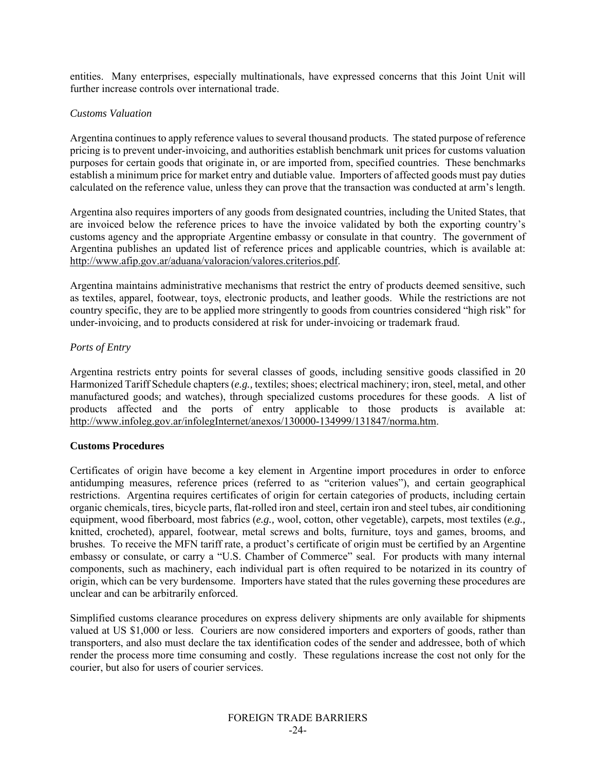entities. Many enterprises, especially multinationals, have expressed concerns that this Joint Unit will further increase controls over international trade.

# *Customs Valuation*

Argentina continues to apply reference values to several thousand products. The stated purpose of reference pricing is to prevent under-invoicing, and authorities establish benchmark unit prices for customs valuation purposes for certain goods that originate in, or are imported from, specified countries. These benchmarks establish a minimum price for market entry and dutiable value. Importers of affected goods must pay duties calculated on the reference value, unless they can prove that the transaction was conducted at arm's length.

Argentina also requires importers of any goods from designated countries, including the United States, that are invoiced below the reference prices to have the invoice validated by both the exporting country's customs agency and the appropriate Argentine embassy or consulate in that country. The government of Argentina publishes an updated list of reference prices and applicable countries, which is available at: http://www.afip.gov.ar/aduana/valoracion/valores.criterios.pdf.

Argentina maintains administrative mechanisms that restrict the entry of products deemed sensitive, such as textiles, apparel, footwear, toys, electronic products, and leather goods. While the restrictions are not country specific, they are to be applied more stringently to goods from countries considered "high risk" for under-invoicing, and to products considered at risk for under-invoicing or trademark fraud.

# *Ports of Entry*

Argentina restricts entry points for several classes of goods, including sensitive goods classified in 20 Harmonized Tariff Schedule chapters (*e.g.,* textiles; shoes; electrical machinery; iron, steel, metal, and other manufactured goods; and watches), through specialized customs procedures for these goods. A list of products affected and the ports of entry applicable to those products is available at: http://www.infoleg.gov.ar/infolegInternet/anexos/130000-134999/131847/norma.htm.

# **Customs Procedures**

Certificates of origin have become a key element in Argentine import procedures in order to enforce antidumping measures, reference prices (referred to as "criterion values"), and certain geographical restrictions. Argentina requires certificates of origin for certain categories of products, including certain organic chemicals, tires, bicycle parts, flat-rolled iron and steel, certain iron and steel tubes, air conditioning equipment, wood fiberboard, most fabrics (*e.g.,* wool, cotton, other vegetable), carpets, most textiles (*e.g.,*  knitted, crocheted), apparel, footwear, metal screws and bolts, furniture, toys and games, brooms, and brushes. To receive the MFN tariff rate, a product's certificate of origin must be certified by an Argentine embassy or consulate, or carry a "U.S. Chamber of Commerce" seal. For products with many internal components, such as machinery, each individual part is often required to be notarized in its country of origin, which can be very burdensome. Importers have stated that the rules governing these procedures are unclear and can be arbitrarily enforced.

Simplified customs clearance procedures on express delivery shipments are only available for shipments valued at US \$1,000 or less. Couriers are now considered importers and exporters of goods, rather than transporters, and also must declare the tax identification codes of the sender and addressee, both of which render the process more time consuming and costly. These regulations increase the cost not only for the courier, but also for users of courier services.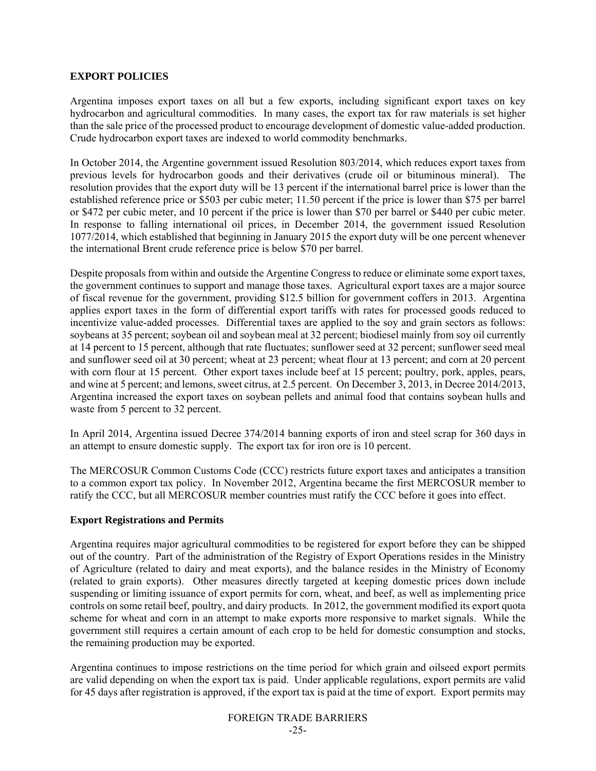# **EXPORT POLICIES**

Argentina imposes export taxes on all but a few exports, including significant export taxes on key hydrocarbon and agricultural commodities. In many cases, the export tax for raw materials is set higher than the sale price of the processed product to encourage development of domestic value-added production. Crude hydrocarbon export taxes are indexed to world commodity benchmarks.

In October 2014, the Argentine government issued Resolution 803/2014, which reduces export taxes from previous levels for hydrocarbon goods and their derivatives (crude oil or bituminous mineral). The resolution provides that the export duty will be 13 percent if the international barrel price is lower than the established reference price or \$503 per cubic meter; 11.50 percent if the price is lower than \$75 per barrel or \$472 per cubic meter, and 10 percent if the price is lower than \$70 per barrel or \$440 per cubic meter. In response to falling international oil prices, in December 2014, the government issued Resolution 1077/2014, which established that beginning in January 2015 the export duty will be one percent whenever the international Brent crude reference price is below \$70 per barrel.

Despite proposals from within and outside the Argentine Congress to reduce or eliminate some export taxes, the government continues to support and manage those taxes. Agricultural export taxes are a major source of fiscal revenue for the government, providing \$12.5 billion for government coffers in 2013. Argentina applies export taxes in the form of differential export tariffs with rates for processed goods reduced to incentivize value-added processes. Differential taxes are applied to the soy and grain sectors as follows: soybeans at 35 percent; soybean oil and soybean meal at 32 percent; biodiesel mainly from soy oil currently at 14 percent to 15 percent, although that rate fluctuates; sunflower seed at 32 percent; sunflower seed meal and sunflower seed oil at 30 percent; wheat at 23 percent; wheat flour at 13 percent; and corn at 20 percent with corn flour at 15 percent. Other export taxes include beef at 15 percent; poultry, pork, apples, pears, and wine at 5 percent; and lemons, sweet citrus, at 2.5 percent. On December 3, 2013, in Decree 2014/2013, Argentina increased the export taxes on soybean pellets and animal food that contains soybean hulls and waste from 5 percent to 32 percent.

In April 2014, Argentina issued Decree 374/2014 banning exports of iron and steel scrap for 360 days in an attempt to ensure domestic supply. The export tax for iron ore is 10 percent.

The MERCOSUR Common Customs Code (CCC) restricts future export taxes and anticipates a transition to a common export tax policy. In November 2012, Argentina became the first MERCOSUR member to ratify the CCC, but all MERCOSUR member countries must ratify the CCC before it goes into effect.

#### **Export Registrations and Permits**

Argentina requires major agricultural commodities to be registered for export before they can be shipped out of the country. Part of the administration of the Registry of Export Operations resides in the Ministry of Agriculture (related to dairy and meat exports), and the balance resides in the Ministry of Economy (related to grain exports). Other measures directly targeted at keeping domestic prices down include suspending or limiting issuance of export permits for corn, wheat, and beef, as well as implementing price controls on some retail beef, poultry, and dairy products. In 2012, the government modified its export quota scheme for wheat and corn in an attempt to make exports more responsive to market signals. While the government still requires a certain amount of each crop to be held for domestic consumption and stocks, the remaining production may be exported.

Argentina continues to impose restrictions on the time period for which grain and oilseed export permits are valid depending on when the export tax is paid. Under applicable regulations, export permits are valid for 45 days after registration is approved, if the export tax is paid at the time of export. Export permits may

# FOREIGN TRADE BARRIERS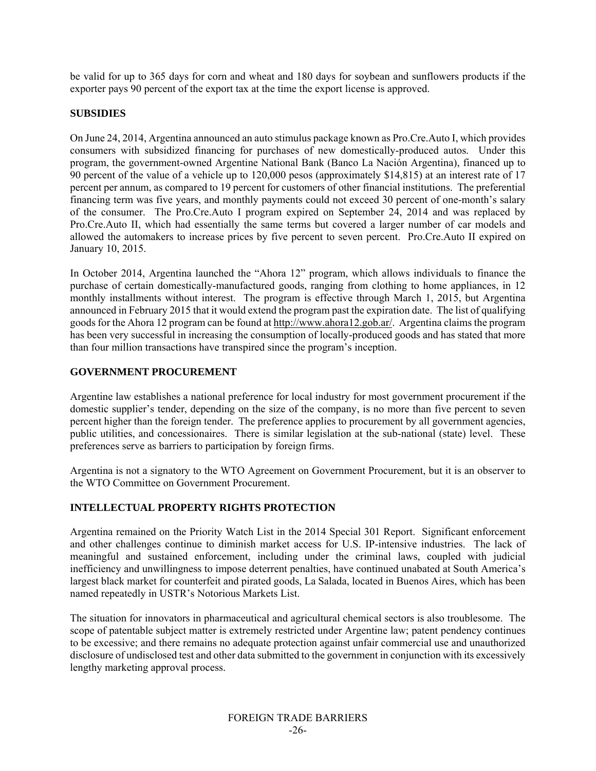be valid for up to 365 days for corn and wheat and 180 days for soybean and sunflowers products if the exporter pays 90 percent of the export tax at the time the export license is approved.

# **SUBSIDIES**

On June 24, 2014, Argentina announced an auto stimulus package known as Pro.Cre.Auto I, which provides consumers with subsidized financing for purchases of new domestically-produced autos. Under this program, the government-owned Argentine National Bank (Banco La Nación Argentina), financed up to 90 percent of the value of a vehicle up to 120,000 pesos (approximately \$14,815) at an interest rate of 17 percent per annum, as compared to 19 percent for customers of other financial institutions. The preferential financing term was five years, and monthly payments could not exceed 30 percent of one-month's salary of the consumer. The Pro.Cre.Auto I program expired on September 24, 2014 and was replaced by Pro.Cre.Auto II, which had essentially the same terms but covered a larger number of car models and allowed the automakers to increase prices by five percent to seven percent. Pro.Cre.Auto II expired on January 10, 2015.

In October 2014, Argentina launched the "Ahora 12" program, which allows individuals to finance the purchase of certain domestically-manufactured goods, ranging from clothing to home appliances, in 12 monthly installments without interest. The program is effective through March 1, 2015, but Argentina announced in February 2015 that it would extend the program past the expiration date. The list of qualifying goods for the Ahora 12 program can be found at http://www.ahora12.gob.ar/. Argentina claims the program has been very successful in increasing the consumption of locally-produced goods and has stated that more than four million transactions have transpired since the program's inception.

# **GOVERNMENT PROCUREMENT**

Argentine law establishes a national preference for local industry for most government procurement if the domestic supplier's tender, depending on the size of the company, is no more than five percent to seven percent higher than the foreign tender. The preference applies to procurement by all government agencies, public utilities, and concessionaires. There is similar legislation at the sub-national (state) level. These preferences serve as barriers to participation by foreign firms.

Argentina is not a signatory to the WTO Agreement on Government Procurement, but it is an observer to the WTO Committee on Government Procurement.

# **INTELLECTUAL PROPERTY RIGHTS PROTECTION**

Argentina remained on the Priority Watch List in the 2014 Special 301 Report. Significant enforcement and other challenges continue to diminish market access for U.S. IP-intensive industries. The lack of meaningful and sustained enforcement, including under the criminal laws, coupled with judicial inefficiency and unwillingness to impose deterrent penalties, have continued unabated at South America's largest black market for counterfeit and pirated goods, La Salada, located in Buenos Aires, which has been named repeatedly in USTR's Notorious Markets List.

The situation for innovators in pharmaceutical and agricultural chemical sectors is also troublesome. The scope of patentable subject matter is extremely restricted under Argentine law; patent pendency continues to be excessive; and there remains no adequate protection against unfair commercial use and unauthorized disclosure of undisclosed test and other data submitted to the government in conjunction with its excessively lengthy marketing approval process.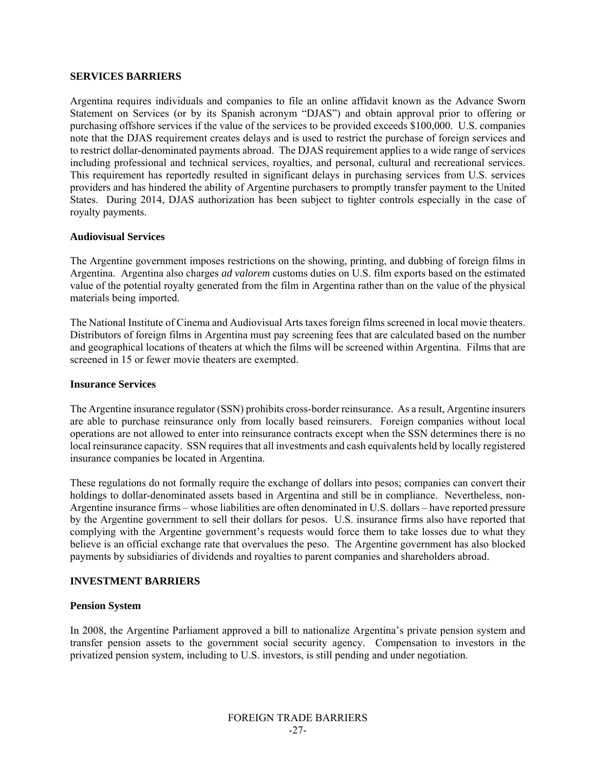#### **SERVICES BARRIERS**

Argentina requires individuals and companies to file an online affidavit known as the Advance Sworn Statement on Services (or by its Spanish acronym "DJAS") and obtain approval prior to offering or purchasing offshore services if the value of the services to be provided exceeds \$100,000. U.S. companies note that the DJAS requirement creates delays and is used to restrict the purchase of foreign services and to restrict dollar-denominated payments abroad. The DJAS requirement applies to a wide range of services including professional and technical services, royalties, and personal, cultural and recreational services. This requirement has reportedly resulted in significant delays in purchasing services from U.S. services providers and has hindered the ability of Argentine purchasers to promptly transfer payment to the United States. During 2014, DJAS authorization has been subject to tighter controls especially in the case of royalty payments.

#### **Audiovisual Services**

The Argentine government imposes restrictions on the showing, printing, and dubbing of foreign films in Argentina. Argentina also charges *ad valorem* customs duties on U.S. film exports based on the estimated value of the potential royalty generated from the film in Argentina rather than on the value of the physical materials being imported.

The National Institute of Cinema and Audiovisual Arts taxes foreign films screened in local movie theaters. Distributors of foreign films in Argentina must pay screening fees that are calculated based on the number and geographical locations of theaters at which the films will be screened within Argentina. Films that are screened in 15 or fewer movie theaters are exempted.

#### **Insurance Services**

The Argentine insurance regulator (SSN) prohibits cross-border reinsurance. As a result, Argentine insurers are able to purchase reinsurance only from locally based reinsurers. Foreign companies without local operations are not allowed to enter into reinsurance contracts except when the SSN determines there is no local reinsurance capacity. SSN requires that all investments and cash equivalents held by locally registered insurance companies be located in Argentina.

These regulations do not formally require the exchange of dollars into pesos; companies can convert their holdings to dollar-denominated assets based in Argentina and still be in compliance. Nevertheless, non-Argentine insurance firms – whose liabilities are often denominated in U.S. dollars – have reported pressure by the Argentine government to sell their dollars for pesos. U.S. insurance firms also have reported that complying with the Argentine government's requests would force them to take losses due to what they believe is an official exchange rate that overvalues the peso. The Argentine government has also blocked payments by subsidiaries of dividends and royalties to parent companies and shareholders abroad.

#### **INVESTMENT BARRIERS**

#### **Pension System**

In 2008, the Argentine Parliament approved a bill to nationalize Argentina's private pension system and transfer pension assets to the government social security agency. Compensation to investors in the privatized pension system, including to U.S. investors, is still pending and under negotiation.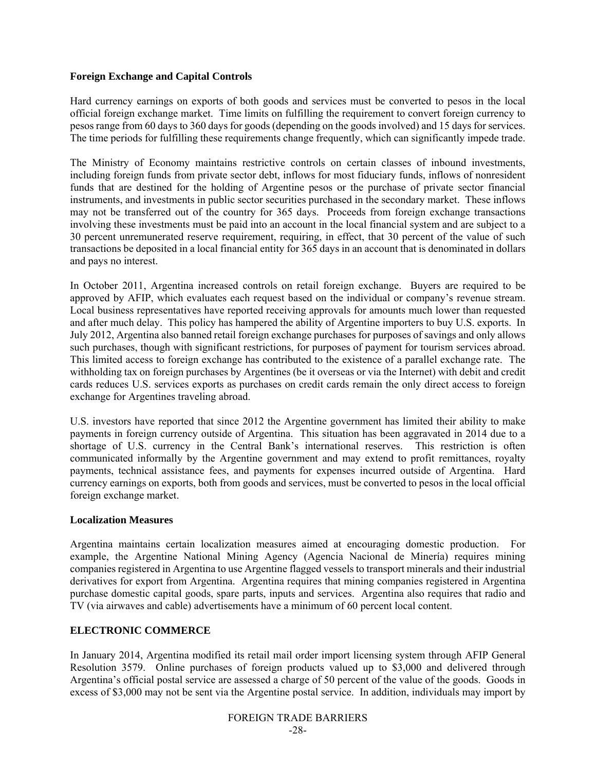# **Foreign Exchange and Capital Controls**

Hard currency earnings on exports of both goods and services must be converted to pesos in the local official foreign exchange market. Time limits on fulfilling the requirement to convert foreign currency to pesos range from 60 days to 360 days for goods (depending on the goods involved) and 15 days for services. The time periods for fulfilling these requirements change frequently, which can significantly impede trade.

The Ministry of Economy maintains restrictive controls on certain classes of inbound investments, including foreign funds from private sector debt, inflows for most fiduciary funds, inflows of nonresident funds that are destined for the holding of Argentine pesos or the purchase of private sector financial instruments, and investments in public sector securities purchased in the secondary market. These inflows may not be transferred out of the country for 365 days. Proceeds from foreign exchange transactions involving these investments must be paid into an account in the local financial system and are subject to a 30 percent unremunerated reserve requirement, requiring, in effect, that 30 percent of the value of such transactions be deposited in a local financial entity for 365 days in an account that is denominated in dollars and pays no interest.

In October 2011, Argentina increased controls on retail foreign exchange. Buyers are required to be approved by AFIP, which evaluates each request based on the individual or company's revenue stream. Local business representatives have reported receiving approvals for amounts much lower than requested and after much delay. This policy has hampered the ability of Argentine importers to buy U.S. exports. In July 2012, Argentina also banned retail foreign exchange purchases for purposes of savings and only allows such purchases, though with significant restrictions, for purposes of payment for tourism services abroad. This limited access to foreign exchange has contributed to the existence of a parallel exchange rate. The withholding tax on foreign purchases by Argentines (be it overseas or via the Internet) with debit and credit cards reduces U.S. services exports as purchases on credit cards remain the only direct access to foreign exchange for Argentines traveling abroad.

U.S. investors have reported that since 2012 the Argentine government has limited their ability to make payments in foreign currency outside of Argentina. This situation has been aggravated in 2014 due to a shortage of U.S. currency in the Central Bank's international reserves. This restriction is often communicated informally by the Argentine government and may extend to profit remittances, royalty payments, technical assistance fees, and payments for expenses incurred outside of Argentina. Hard currency earnings on exports, both from goods and services, must be converted to pesos in the local official foreign exchange market.

# **Localization Measures**

Argentina maintains certain localization measures aimed at encouraging domestic production. For example, the Argentine National Mining Agency (Agencia Nacional de Minería) requires mining companies registered in Argentina to use Argentine flagged vessels to transport minerals and their industrial derivatives for export from Argentina. Argentina requires that mining companies registered in Argentina purchase domestic capital goods, spare parts, inputs and services. Argentina also requires that radio and TV (via airwaves and cable) advertisements have a minimum of 60 percent local content.

# **ELECTRONIC COMMERCE**

In January 2014, Argentina modified its retail mail order import licensing system through AFIP General Resolution 3579. Online purchases of foreign products valued up to \$3,000 and delivered through Argentina's official postal service are assessed a charge of 50 percent of the value of the goods. Goods in excess of \$3,000 may not be sent via the Argentine postal service. In addition, individuals may import by